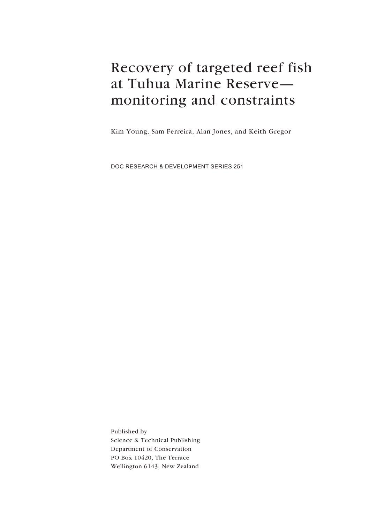# Recovery of targeted reef fish at Tuhua Marine Reserve monitoring and constraints

Kim Young, Sam Ferreira, Alan Jones, and Keith Gregor

DOC RESEARCH & DEVELOPMENT SERIES 251

Published by Science & Technical Publishing Department of Conservation PO Box 10420, The Terrace Wellington 6143, New Zealand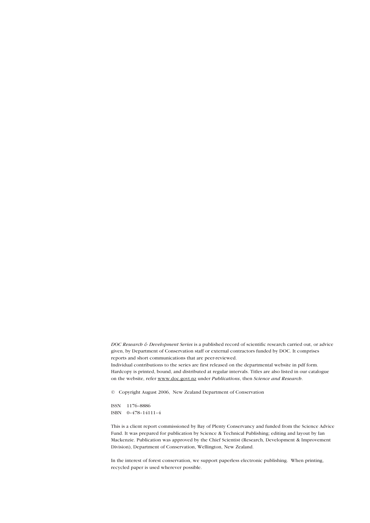*DOC Research & Development Series* is a published record of scientific research carried out, or advice given, by Department of Conservation staff or external contractors funded by DOC. It comprises reports and short communications that are peer-reviewed.

Individual contributions to the series are first released on the departmental website in pdf form. Hardcopy is printed, bound, and distributed at regular intervals. Titles are also listed in our catalogue on the website, refer www.doc.govt.nz under *Publications*, then *Science and Research*.

© Copyright August 2006, New Zealand Department of Conservation

ISSN 1176–8886 ISBN 0–478–14111–4

This is a client report commissioned by Bay of Plenty Conservancy and funded from the Science Advice Fund. It was prepared for publication by Science & Technical Publishing; editing and layout by Ian Mackenzie. Publication was approved by the Chief Scientist (Research, Development & Improvement Division), Department of Conservation, Wellington, New Zealand.

In the interest of forest conservation, we support paperless electronic publishing. When printing, recycled paper is used wherever possible.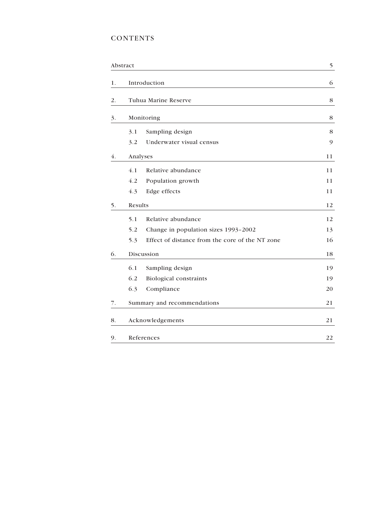## **CONTENTS**

|    | Abstract                             |                                                 | 5  |  |  |  |
|----|--------------------------------------|-------------------------------------------------|----|--|--|--|
| 1. | Introduction                         |                                                 | 6  |  |  |  |
|    |                                      |                                                 |    |  |  |  |
| 2. | Tuhua Marine Reserve                 |                                                 | 8  |  |  |  |
| 3. | Monitoring                           |                                                 |    |  |  |  |
|    | 3.1<br>Sampling design               |                                                 | 8  |  |  |  |
|    | Underwater visual census<br>3.2      |                                                 | 9  |  |  |  |
| 4. | Analyses                             | 11                                              |    |  |  |  |
|    | 4.1<br>Relative abundance            |                                                 | 11 |  |  |  |
|    | 4.2<br>Population growth             |                                                 | 11 |  |  |  |
|    | 4.3<br>Edge effects                  |                                                 | 11 |  |  |  |
| 5. | Results                              | 12                                              |    |  |  |  |
|    | 5.1<br>Relative abundance            |                                                 | 12 |  |  |  |
|    | 5.2                                  | Change in population sizes 1993-2002            | 13 |  |  |  |
|    | 5.3                                  | Effect of distance from the core of the NT zone | 16 |  |  |  |
| 6. | Discussion                           |                                                 |    |  |  |  |
|    | 6.1<br>Sampling design               |                                                 | 19 |  |  |  |
|    | 6.2<br><b>Biological constraints</b> |                                                 | 19 |  |  |  |
|    | 6.3<br>Compliance                    |                                                 | 20 |  |  |  |
| 7. | Summary and recommendations          |                                                 | 21 |  |  |  |
| 8. | Acknowledgements                     |                                                 | 21 |  |  |  |
| 9. | References                           |                                                 | 22 |  |  |  |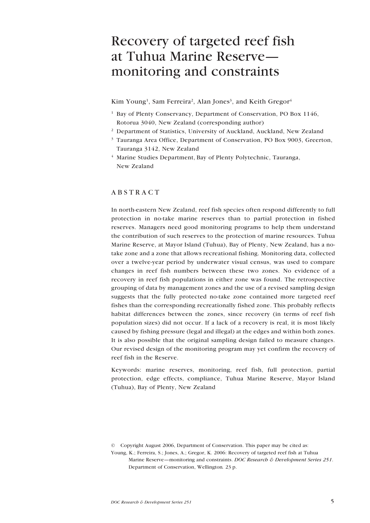## Recovery of targeted reef fish at Tuhua Marine Reserve monitoring and constraints

Kim Young<sup>1</sup>, Sam Ferreira<sup>2</sup>, Alan Jones<sup>3</sup>, and Keith Gregor<sup>4</sup>

- <sup>1</sup> Bay of Plenty Conservancy, Department of Conservation, PO Box 1146, Rotorua 3040, New Zealand (corresponding author)
- <sup>2</sup> Department of Statistics, University of Auckland, Auckland, New Zealand
- <sup>3</sup> Tauranga Area Office, Department of Conservation, PO Box 9003, Greerton, Tauranga 3142, New Zealand
- <sup>4</sup> Marine Studies Department, Bay of Plenty Polytechnic, Tauranga, New Zealand

### ABSTRACT

In north-eastern New Zealand, reef fish species often respond differently to full protection in no-take marine reserves than to partial protection in fished reserves. Managers need good monitoring programs to help them understand the contribution of such reserves to the protection of marine resources. Tuhua Marine Reserve, at Mayor Island (Tuhua), Bay of Plenty, New Zealand, has a notake zone and a zone that allows recreational fishing. Monitoring data, collected over a twelve-year period by underwater visual census, was used to compare changes in reef fish numbers between these two zones. No evidence of a recovery in reef fish populations in either zone was found. The retrospective grouping of data by management zones and the use of a revised sampling design suggests that the fully protected no-take zone contained more targeted reef fishes than the corresponding recreationally fished zone. This probably reflects habitat differences between the zones, since recovery (in terms of reef fish population sizes) did not occur. If a lack of a recovery is real, it is most likely caused by fishing pressure (legal and illegal) at the edges and within both zones. It is also possible that the original sampling design failed to measure changes. Our revised design of the monitoring program may yet confirm the recovery of reef fish in the Reserve.

Keywords: marine reserves, monitoring, reef fish, full protection, partial protection, edge effects, compliance, Tuhua Marine Reserve, Mayor Island (Tuhua), Bay of Plenty, New Zealand

<sup>©</sup> Copyright August 2006, Department of Conservation. This paper may be cited as:

Young, K.; Ferreira, S.; Jones, A.; Gregor, K. 2006: Recovery of targeted reef fish at Tuhua Marine Reserve—monitoring and constraints. *DOC Research & Development Series 251*. Department of Conservation, Wellington*.* 23 p.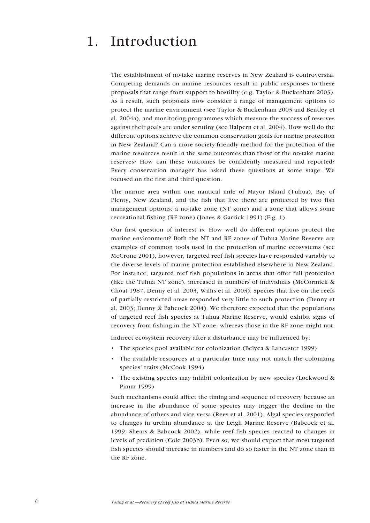## 1. Introduction

The establishment of no-take marine reserves in New Zealand is controversial. Competing demands on marine resources result in public responses to these proposals that range from support to hostility (e.g. Taylor & Buckenham 2003). As a result, such proposals now consider a range of management options to protect the marine environment (see Taylor & Buckenham 2003 and Bentley et al. 2004a), and monitoring programmes which measure the success of reserves against their goals are under scrutiny (see Halpern et al. 2004). How well do the different options achieve the common conservation goals for marine protection in New Zealand? Can a more society-friendly method for the protection of the marine resources result in the same outcomes than those of the no-take marine reserves? How can these outcomes be confidently measured and reported? Every conservation manager has asked these questions at some stage. We focused on the first and third question.

The marine area within one nautical mile of Mayor Island (Tuhua), Bay of Plenty, New Zealand, and the fish that live there are protected by two fish management options: a no-take zone (NT zone) and a zone that allows some recreational fishing (RF zone) (Jones & Garrick 1991) (Fig. 1).

Our first question of interest is: How well do different options protect the marine environment? Both the NT and RF zones of Tuhua Marine Reserve are examples of common tools used in the protection of marine ecosystems (see McCrone 2001), however, targeted reef fish species have responded variably to the diverse levels of marine protection established elsewhere in New Zealand. For instance, targeted reef fish populations in areas that offer full protection (like the Tuhua NT zone), increased in numbers of individuals (McCormick & Choat 1987, Denny et al. 2003, Willis et al. 2003). Species that live on the reefs of partially restricted areas responded very little to such protection (Denny et al. 2003; Denny & Babcock 2004). We therefore expected that the populations of targeted reef fish species at Tuhua Marine Reserve, would exhibit signs of recovery from fishing in the NT zone, whereas those in the RF zone might not.

Indirect ecosystem recovery after a disturbance may be influenced by:

- The species pool available for colonization (Belyea & Lancaster 1999)
- The available resources at a particular time may not match the colonizing species' traits (McCook 1994)
- The existing species may inhibit colonization by new species (Lockwood & Pimm 1999)

Such mechanisms could affect the timing and sequence of recovery because an increase in the abundance of some species may trigger the decline in the abundance of others and vice versa (Rees et al. 2001). Algal species responded to changes in urchin abundance at the Leigh Marine Reserve (Babcock et al. 1999; Shears & Babcock 2002), while reef fish species reacted to changes in levels of predation (Cole 2003b). Even so, we should expect that most targeted fish species should increase in numbers and do so faster in the NT zone than in the RF zone.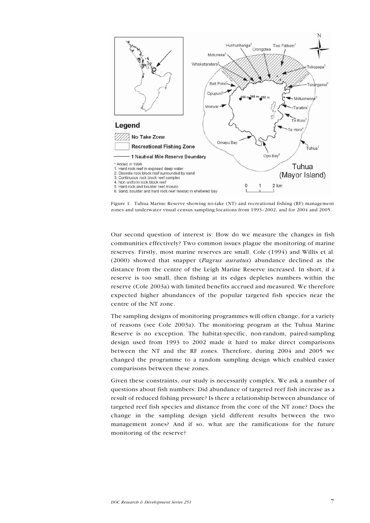



Our second question of interest is: How do we measure the changes in fish communities effectively? Two common issues plague the monitoring of marine reserves. Firstly, most marine reserves are small. Cole (1994) and Willis et al. (2000) showed that snapper (*Pagrus auratus*) abundance declined as the distance from the centre of the Leigh Marine Reserve increased. In short, if a reserve is too small, then fishing at its edges depletes numbers within the reserve (Cole 2003a) with limited benefits accrued and measured. We therefore expected higher abundances of the popular targeted fish species near the centre of the NT zone.

The sampling designs of monitoring programmes will often change, for a variety of reasons (see Cole 2003a). The monitoring program at the Tuhua Marine Reserve is no exception. The habitat-specific, non-random, paired-sampling design used from 1993 to 2002 made it hard to make direct comparisons between the NT and the RF zones. Therefore, during 2004 and 2005 we changed the programme to a random sampling design which enabled easier comparisons between these zones.

Given these constraints, our study is necessarily complex. We ask a number of questions about fish numbers: Did abundance of targeted reef fish increase as a result of reduced fishing pressure? Is there a relationship between abundance of targeted reef fish species and distance from the core of the NT zone? Does the change in the sampling design yield different results between the two management zones? And if so, what are the ramifications for the future monitoring of the reserve?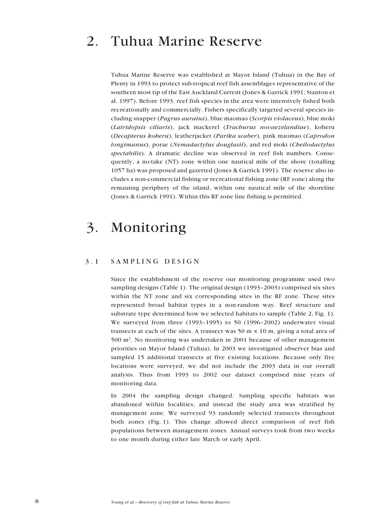## 2. Tuhua Marine Reserve

Tuhua Marine Reserve was established at Mayor Island (Tuhua) in the Bay of Plenty in 1993 to protect sub-tropical reef fish assemblages representative of the southern most tip of the East Auckland Current (Jones & Garrick 1991; Stanton et al. 1997). Before 1993, reef fish species in the area were intensively fished both recreationally and commercially. Fishers specifically targeted several species including snapper (*Pagrus auratus*), blue maomao (*Scorpis violaceus*), blue moki (*Latridopsis ciliaris*), jack mackerel (*Trachurus novaezelandiae*), koheru (*Decapterus koheru*), leatherjacket (*Parika scaber*), pink maomao (*Caprodon longimanus*), porae (*Nemadactylus douglasii*), and red moki (*Cheilodactylus spectabilis*). A dramatic decline was observed in reef fish numbers. Consequently, a no-take (NT) zone within one nautical mile of the shore (totalling 1057 ha) was proposed and gazetted (Jones & Garrick 1991). The reserve also includes a non-commercial fishing or recreational fishing zone (RF zone) along the remaining periphery of the island, within one nautical mile of the shoreline (Jones & Garrick 1991). Within this RF zone line fishing is permitted.

## 3. Monitoring

## 3.1 SAMPLING DESIGN

Since the establishment of the reserve our monitoring programme used two sampling designs (Table 1). The original design (1993–2003) comprised six sites within the NT zone and six corresponding sites in the RF zone. These sites represented broad habitat types in a non-random way. Reef structure and substrate type determined how we selected habitats to sample (Table 2, Fig. 1). We surveyed from three (1993–1995) to 50 (1996–2002) underwater visual transects at each of the sites. A transect was  $50 \text{ m} \times 10 \text{ m}$ , giving a total area of 500 m2. No monitoring was undertaken in 2001 because of other management priorities on Mayor Island (Tuhua). In 2003 we investigated observer bias and sampled 15 additional transects at five existing locations. Because only five locations were surveyed, we did not include the 2003 data in our overall analysis. Thus from 1993 to 2002 our dataset comprised nine years of monitoring data.

In 2004 the sampling design changed. Sampling specific habitats was abandoned within localities, and instead the study area was stratified by management zone. We surveyed 93 randomly selected transects throughout both zones (Fig. 1). This change allowed direct comparison of reef fish populations between management zones. Annual surveys took from two weeks to one month during either late March or early April.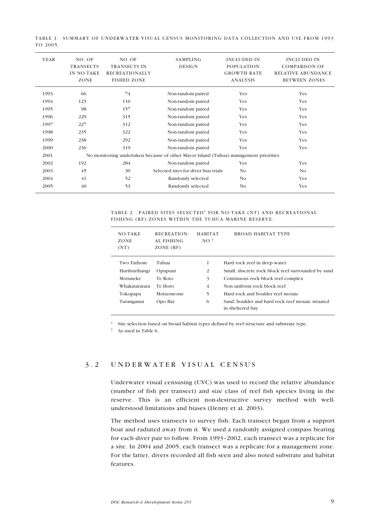TABLE 1. SUMMARY OF UNDERWATER VISUAL CENSUS MONITORING DATA COLLECTION AND USE FROM 1993 TO 2005.

| <b>YEAR</b> | NO. OF<br><b>TRANSECTS</b><br><b>IN NO-TAKE</b><br>ZONE                              | NO. OF<br>TRANSECTS IN<br><b>RECREATIONALLY</b><br><b>FISHED ZONE</b> | <b>SAMPLING</b><br><b>DESIGN</b>     | <b>INCLUDED IN</b><br><b>POPULATION</b><br><b>GROWTH RATE</b><br><b>ANALYSIS</b> | <b>INCLUDED IN</b><br><b>COMPARISON OF</b><br><b>RELATIVE ABUNDANCE</b><br><b>BETWEEN ZONES</b> |  |  |  |  |
|-------------|--------------------------------------------------------------------------------------|-----------------------------------------------------------------------|--------------------------------------|----------------------------------------------------------------------------------|-------------------------------------------------------------------------------------------------|--|--|--|--|
| 1993        | 66                                                                                   | 74                                                                    | Non-random paired                    | Yes                                                                              | <b>Yes</b>                                                                                      |  |  |  |  |
| 1994        | 123                                                                                  | 110                                                                   | Non-random paired                    | Yes                                                                              | Yes                                                                                             |  |  |  |  |
| 1995        | 98                                                                                   | 157                                                                   | Non-random paired                    | Yes                                                                              | Yes                                                                                             |  |  |  |  |
| 1996        | 229                                                                                  | 315                                                                   | Non-random paired                    | Yes                                                                              | Yes                                                                                             |  |  |  |  |
| 1997        | 227                                                                                  | 312                                                                   | Non-random paired                    | Yes                                                                              | Yes                                                                                             |  |  |  |  |
| 1998        | 235                                                                                  | 322                                                                   | Non-random paired                    | Yes                                                                              | <b>Yes</b>                                                                                      |  |  |  |  |
| 1999        | 238                                                                                  | 292                                                                   | Non-random paired                    | Yes                                                                              | Yes                                                                                             |  |  |  |  |
| 2000        | 236                                                                                  | 319                                                                   | Non-random paired                    | Yes                                                                              | Yes                                                                                             |  |  |  |  |
| 2001        | No monitoring undertaken because of other Mayor Island (Tuhua) management priorities |                                                                       |                                      |                                                                                  |                                                                                                 |  |  |  |  |
| 2002        | 192                                                                                  | 284                                                                   | Non-random paired                    | Yes                                                                              | <b>Yes</b>                                                                                      |  |  |  |  |
| 2003        | 45                                                                                   | 30                                                                    | Selected sites for diver bias trials | No                                                                               | No                                                                                              |  |  |  |  |
| 2004        | 41                                                                                   | 52                                                                    | Randomly selected                    | No                                                                               | Yes                                                                                             |  |  |  |  |
| 2005        | 40                                                                                   | 53                                                                    | Randomly selected                    | No                                                                               | Yes                                                                                             |  |  |  |  |

TABLE 2. PAIRED SITES SELECTED\* FOR NO-TAKE (NT) AND RECREATIONAL FISHING (RF) ZONES WITHIN THE TUHUA MARINE RESERVE.

| NO-TAKE<br><b>ZONE</b><br>(NT) | RECREATION-<br>AL FISHING<br>ZONE (RF) | <b>HABITAT</b><br>NO <sup>†</sup> | <b>BROAD HABITAT TYPE</b>                                            |
|--------------------------------|----------------------------------------|-----------------------------------|----------------------------------------------------------------------|
| Two Fathom                     | Tuhua                                  | 1                                 | Hard rock reef in deep water                                         |
| Hurihurihangi                  | Opupuni                                | 2                                 | Small, discrete rock block reef surrounded by sand                   |
| Motuneke                       | Te Roto                                | 3                                 | Continuous rock block reef complex                                   |
| Whakataratara                  | Te Horo                                | 4                                 | Non uniform rock block reef                                          |
| Tokopapa                       | Motuoneone                             | 5                                 | Hard rock and boulder reef mosaic                                    |
| Turanganui                     | Opo Bay                                | 6                                 | Sand, boulder and hard rock reef mosaic situated<br>in sheltered bay |

\* Site selection based on broad habitat types defined by reef structure and substrate type.

† As used in Table 6.

L

## 3.2 UNDERWATER VISUAL CENSUS

Underwater visual censusing (UVC) was used to record the relative abundance (number of fish per transect) and size class of reef fish species living in the reserve. This is an efficient non-destructive survey method with wellunderstood limitations and biases (Denny et al. 2003).

The method uses transects to survey fish. Each transect began from a support boat and radiated away from it. We used a randomly assigned compass bearing for each diver pair to follow. From 1993–2002, each transect was a replicate for a site. In 2004 and 2005, each transect was a replicate for a management zone. For the latter, divers recorded all fish seen and also noted substrate and habitat features.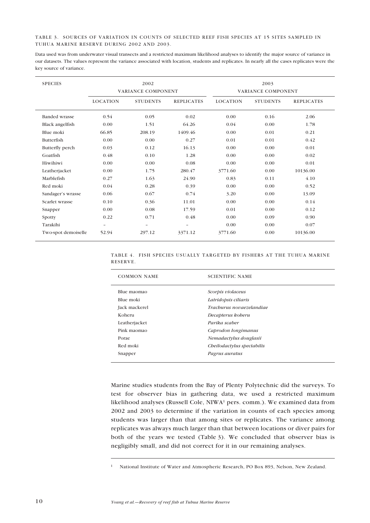#### TABLE 3. SOURCES OF VARIATION IN COUNTS OF SELECTED REEF FISH SPECIES AT 15 SITES SAMPLED IN TUHUA MARINE RESERVE DURING 2002 AND 2003.

Data used was from underwater visual transects and a restricted maximum likelihood analyses to identify the major source of variance in our datasets. The values represent the variance associated with location, students and replicates. In nearly all the cases replicates were the key source of variance.

| <b>SPECIES</b>         | 2002<br><b>VARIANCE COMPONENT</b> |                          |                   | 2003<br><b>VARIANCE COMPONENT</b> |                 |                   |  |
|------------------------|-----------------------------------|--------------------------|-------------------|-----------------------------------|-----------------|-------------------|--|
|                        | <b>LOCATION</b>                   | <b>STUDENTS</b>          | <b>REPLICATES</b> | <b>LOCATION</b>                   | <b>STUDENTS</b> | <b>REPLICATES</b> |  |
| <b>Banded wrasse</b>   | 0.54                              | 0.05                     | 0.02              | 0.00                              | 0.16            | 2.06              |  |
| <b>Black angelfish</b> | 0.00                              | 1.51                     | 64.26             | 0.04                              | 0.00            | 1.78              |  |
| Blue moki              | 66.85                             | 208.19                   | 1409.46           | 0.00                              | 0.01            | 0.21              |  |
| Butterfish             | 0.00                              | 0.00                     | 0.27              | 0.01                              | 0.01            | 0.42              |  |
| Butterfly perch        | 0.03                              | 0.12                     | 16.13             | 0.00                              | 0.00            | 0.01              |  |
| Goatfish               | 0.48                              | 0.10                     | 1.28              | 0.00                              | 0.00            | 0.02              |  |
| Hiwihiwi               | 0.00                              | 0.00                     | 0.08              | 0.00                              | 0.00            | 0.01              |  |
| Leatherjacket          | 0.00                              | 1.75                     | 280.47            | 3771.60                           | 0.00            | 10136.00          |  |
| Marblefish             | 0.27                              | 1.63                     | 24.90             | 0.83                              | 0.11            | 4.10              |  |
| Red moki               | 0.04                              | 0.28                     | 0.39              | 0.00                              | 0.00            | 0.52              |  |
| Sandager's wrasse      | 0.06                              | 0.67                     | 0.74              | 3.20                              | 0.00            | 13.09             |  |
| Scarlet wrasse         | 0.10                              | 0.36                     | 11.01             | 0.00                              | 0.00            | 0.14              |  |
| Snapper                | 0.00                              | 0.08                     | 17.59             | 0.01                              | 0.00            | 0.12              |  |
| Spotty                 | 0.22                              | 0.71                     | 0.48              | 0.00                              | 0.09            | 0.90              |  |
| Tarakihi               | $\overline{\phantom{0}}$          | $\overline{\phantom{0}}$ | ۰                 | 0.00                              | 0.00            | 0.07              |  |
| Two-spot demoiselle    | 52.94                             | 297.12                   | 3371.12           | 3771.60                           | 0.00            | 10136.00          |  |

#### TABLE 4. FISH SPECIES USUALLY TARGETED BY FISHERS AT THE TUHUA MARINE RESERVE.

| <b>COMMON NAME</b> | <b>SCIENTIFIC NAME</b>     |  |  |  |
|--------------------|----------------------------|--|--|--|
| Blue maomao        | Scorpis violaceus          |  |  |  |
| Blue moki          | Latridopsis ciliaris       |  |  |  |
| Jack mackerel      | Trachurus novaezelandiae   |  |  |  |
| Koheru             | Decapterus koberu          |  |  |  |
| Leatherjacket      | Parika scaber              |  |  |  |
| Pink maomao        | Caprodon longimanus        |  |  |  |
| Porae              | Nemadactylus douglasii     |  |  |  |
| Red moki           | Cheilodactylus spectabilis |  |  |  |
| Snapper            | Pagrus auratus             |  |  |  |

Marine studies students from the Bay of Plenty Polytechnic did the surveys. To test for observer bias in gathering data, we used a restricted maximum likelihood analyses (Russell Cole,  $N I W A<sup>1</sup>$  pers. comm.). We examined data from 2002 and 2003 to determine if the variation in counts of each species among students was larger than that among sites or replicates. The variance among replicates was always much larger than that between locations or diver pairs for both of the years we tested (Table 3). We concluded that observer bias is negligibly small, and did not correct for it in our remaining analyses.

<sup>&</sup>lt;sup>1</sup> National Institute of Water and Atmospheric Research, PO Box 893, Nelson, New Zealand.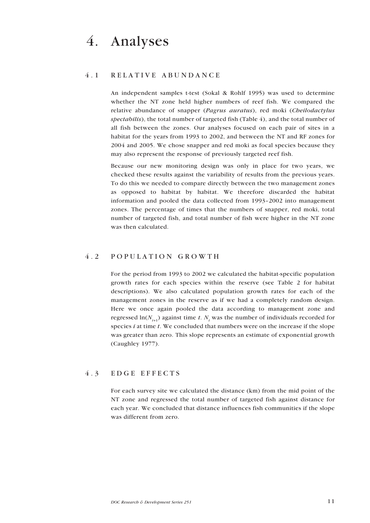### 4.1 RELATIVE ABUNDANCE

An independent samples t-test (Sokal & Rohlf 1995) was used to determine whether the NT zone held higher numbers of reef fish. We compared the relative abundance of snapper (*Pagrus auratus*), red moki (*Cheilodactylus spectabilis*), the total number of targeted fish (Table 4), and the total number of all fish between the zones. Our analyses focused on each pair of sites in a habitat for the years from 1993 to 2002, and between the NT and RF zones for 2004 and 2005. We chose snapper and red moki as focal species because they may also represent the response of previously targeted reef fish.

Because our new monitoring design was only in place for two years, we checked these results against the variability of results from the previous years. To do this we needed to compare directly between the two management zones as opposed to habitat by habitat. We therefore discarded the habitat information and pooled the data collected from 1993–2002 into management zones. The percentage of times that the numbers of snapper, red moki, total number of targeted fish, and total number of fish were higher in the NT zone was then calculated.

### 4.2 POPULATION GROWTH

For the period from 1993 to 2002 we calculated the habitat-specific population growth rates for each species within the reserve (see Table 2 for habitat descriptions). We also calculated population growth rates for each of the management zones in the reserve as if we had a completely random design. Here we once again pooled the data according to management zone and regressed ln( $N_{t+1}$ ) against time *t*.  $N_t$  was the number of individuals recorded for species *i* at time *t*. We concluded that numbers were on the increase if the slope was greater than zero. This slope represents an estimate of exponential growth (Caughley 1977).

### 4.3 EDGE EFFECTS

For each survey site we calculated the distance (km) from the mid point of the NT zone and regressed the total number of targeted fish against distance for each year. We concluded that distance influences fish communities if the slope was different from zero.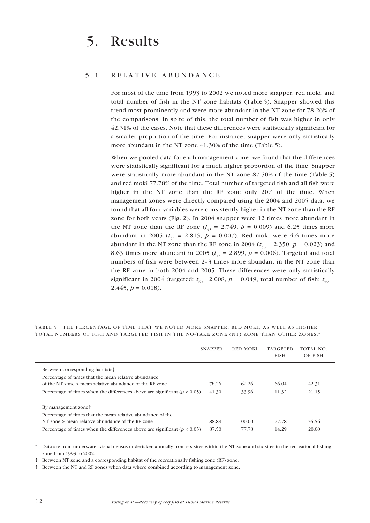## 5. Results

### 5.1 RELATIVE ABUNDANCE

For most of the time from 1993 to 2002 we noted more snapper, red moki, and total number of fish in the NT zone habitats (Table 5). Snapper showed this trend most prominently and were more abundant in the NT zone for 78.26% of the comparisons. In spite of this, the total number of fish was higher in only 42.31% of the cases. Note that these differences were statistically significant for a smaller proportion of the time. For instance, snapper were only statistically more abundant in the NT zone 41.30% of the time (Table 5).

When we pooled data for each management zone, we found that the differences were statistically significant for a much higher proportion of the time. Snapper were statistically more abundant in the NT zone 87.50% of the time (Table 5) and red moki 77.78% of the time. Total number of targeted fish and all fish were higher in the NT zone than the RF zone only 20% of the time. When management zones were directly compared using the 2004 and 2005 data, we found that all four variables were consistently higher in the NT zone than the RF zone for both years (Fig. 2). In 2004 snapper were 12 times more abundant in the NT zone than the RF zone ( $t_{43} = 2.749$ ,  $p = 0.009$ ) and 6.25 times more abundant in 2005 ( $t_{53} = 2.815$ ,  $p = 0.007$ ). Red moki were 4.6 times more abundant in the NT zone than the RF zone in 2004 ( $t_{50} = 2.350$ ,  $p = 0.023$ ) and 8.63 times more abundant in 2005 ( $t_{43} = 2.899$ ,  $p = 0.006$ ). Targeted and total numbers of fish were between 2–3 times more abundant in the NT zone than the RF zone in both 2004 and 2005. These differences were only statistically significant in 2004 (targeted:  $t_{60}$  = 2.008,  $p = 0.049$ , total number of fish:  $t_{59}$  =  $2.445, p = 0.018$ .

| TABLE 5. THE PERCENTAGE OF TIME THAT WE NOTED MORE SNAPPER, RED MOKI, AS WELL AS HIGHER  |  |  |  |
|------------------------------------------------------------------------------------------|--|--|--|
| TOTAL NUMBERS OF FISH AND TARGETED FISH IN THE NO-TAKE ZONE (NT) ZONE THAN OTHER ZONES.* |  |  |  |

|                                                                               | <b>SNAPPER</b> | <b>RED MOKI</b> | <b>TARGETED</b><br><b>FISH</b> | TOTAL NO.<br>OF FISH |
|-------------------------------------------------------------------------------|----------------|-----------------|--------------------------------|----------------------|
| Between corresponding habitats <sup>†</sup>                                   |                |                 |                                |                      |
| Percentage of times that the mean relative abundance                          |                |                 |                                |                      |
| of the NT zone $>$ mean relative abundance of the RF zone                     | 78.26          | 62.26           | 66.04                          | 42.31                |
| Percentage of times when the differences above are significant ( $p < 0.05$ ) | 41.30          | 33.96           | 11.32                          | 21.15                |
| By management zone‡                                                           |                |                 |                                |                      |
| Percentage of times that the mean relative abundance of the                   |                |                 |                                |                      |
| $NT$ zone $>$ mean relative abundance of the RF zone                          | 88.89          | 100.00          | 77.78                          | 55.56                |
| Percentage of times when the differences above are significant ( $p < 0.05$ ) | 87.50          | 77.78           | 14.29                          | 20.00                |

\* Data are from underwater visual census undertaken annually from six sites within the NT zone and six sites in the recreational fishing zone from 1993 to 2002.

† Between NT zone and a corresponding habitat of the recreationally fishing zone (RF) zone.

‡ Between the NT and RF zones when data where combined according to management zone.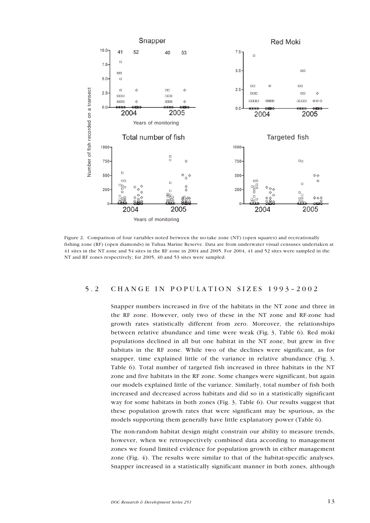

Figure 2. Comparison of four variables noted between the no-take zone (NT) (open squares) and recreationally fishing zone (RF) (open diamonds) in Tuhua Marine Reserve. Data are from underwater visual censuses undertaken at 41 sites in the NT zone and 54 sites in the RF zone in 2004 and 2005. For 2004, 41 and 52 sites were sampled in the

### 5.2 CHANGE IN POPULATION SIZES 1993–2002

Snapper numbers increased in five of the habitats in the NT zone and three in the RF zone. However, only two of these in the NT zone and RF-zone had growth rates statistically different from zero. Moreover, the relationships between relative abundance and time were weak (Fig. 3, Table 6). Red moki populations declined in all but one habitat in the NT zone, but grew in five habitats in the RF zone. While two of the declines were significant, as for snapper, time explained little of the variance in relative abundance (Fig. 3, Table 6). Total number of targeted fish increased in three habitats in the NT zone and five habitats in the RF zone. Some changes were significant, but again our models explained little of the variance. Similarly, total number of fish both increased and decreased across habitats and did so in a statistically significant way for some habitats in both zones (Fig. 3, Table 6). Our results suggest that these population growth rates that were significant may be spurious, as the models supporting them generally have little explanatory power (Table 6).

The non-random habitat design might constrain our ability to measure trends, however, when we retrospectively combined data according to management zones we found limited evidence for population growth in either management zone (Fig. 4). The results were similar to that of the habitat-specific analyses. Snapper increased in a statistically significant manner in both zones, although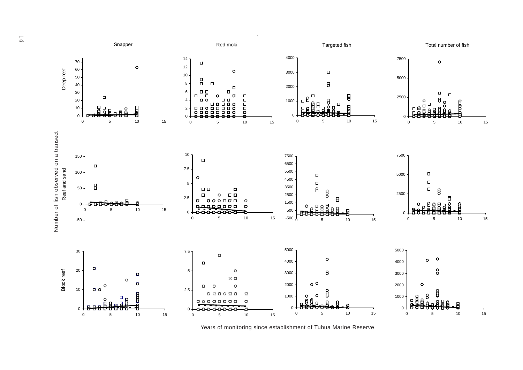

Years of monitoring since establishment of Tuhua Marine Reserve